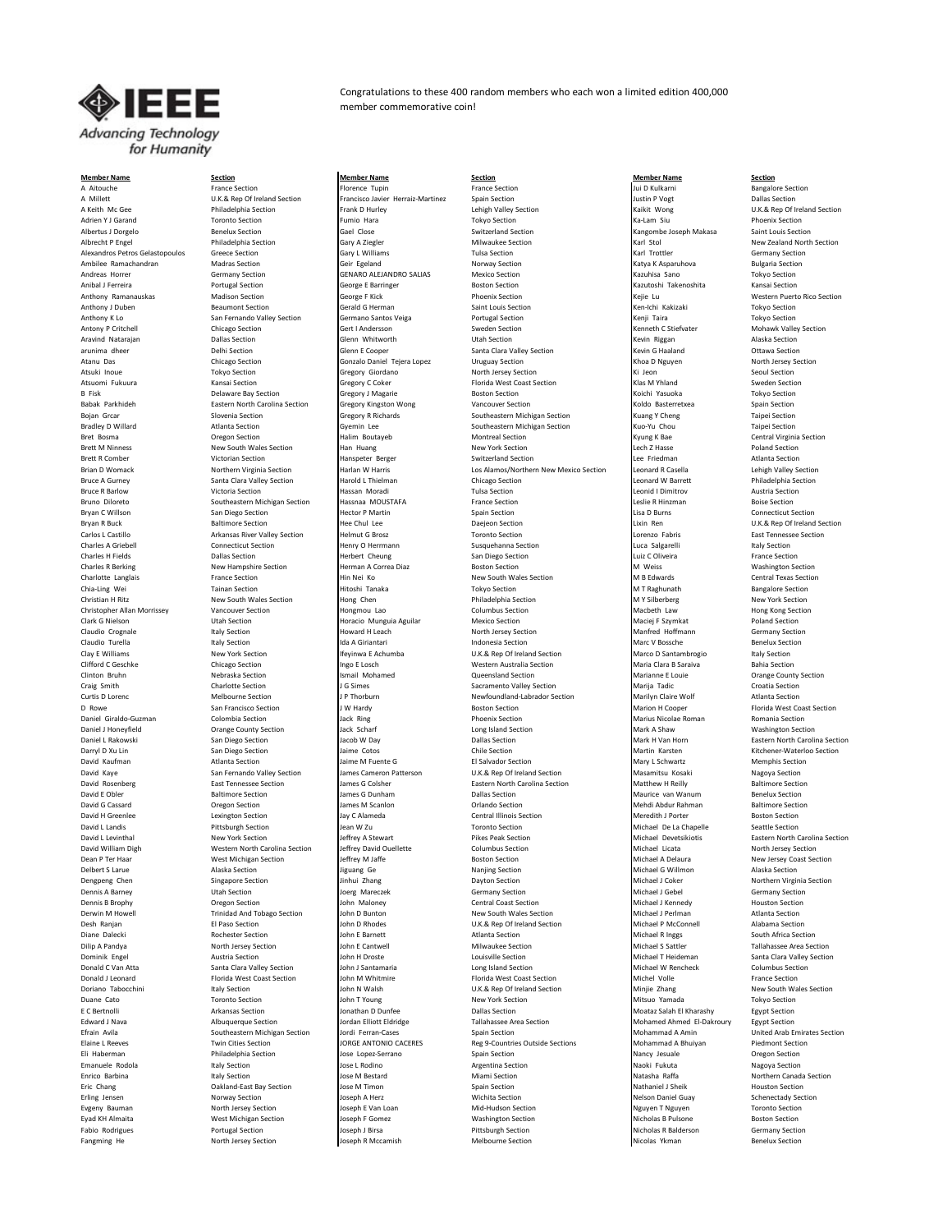

Alexandros Petros Gelastopoulos

**Member Name Section Member Name Section Member Name Section** A Aitouche **France Section** France Section **France Community Florence Tupin** France Section France Section **France Section** Jui D Kulkarni Bangalore Section

Bradley Bradley Boutheastern Michigan Section Gyemin Lee ohn N Walsh U.K.& Rep Of Ireland Section John N Walsh U.K.& Rep Of Ireland Section Ministers Section Ministers

A Millett Chinam Communication U.K.& Rep Of Ireland Section Francisco Javier Herraiz-Martinez Spain Section Justin P Vogt Dallas Section Dallas Section Francisco Javier Herraiz-Martinez Spain Section Justin P Vogt Dallas S A Keith Mc Gee Philadelphia Section Frank D Hurley Lehigh Valley Section (Alian Valley Section Maikit Wong U.K.& Rep Of Ireland Section Europe Philadelphia Section Frank D Hurley Lehigh Valley Section (Alian Section Main S Adrien Y J Garand **Toronto Section Fumio Hara** Tokyo Section Tokyo Section **Mara** Ka-Lam Siu Phoenix Section Albertus J Dorgelo Saint Louis Section Section Cael Close Switzerland Section Section Cael Close Saint Louis Section Albrecht P Engel Philadelphia Section (Gary A Ziegler Milwaukee Section Milwaukee Section New Zealand North Section<br>Alexandros Petros Gelastopoulos Greece Section (Gary L Williams Tulsa Section Tust Nari Trottler Karl Trot Ambilee Ramachandran Madras Section **Madras Section** Geir Egeland Norway Section Norway Section **Katya K Asparuhova** Bulgaria Section Andreas Horrer **Germany Section** GENARO ALEJANDRO SALIAS Mexico Section **Kazuhisa Sano** Tokyo Section Anibal J Ferreira **Portugal Section** George E Barringer **Barringer** Boston Section **Research Section** Kazutoshi Takenoshita Kansai Section Anthony Ramanauskas Madison Section **George F Kick** Phoenix Section Phoenix Section Kejie Lu Western Puerto Rico Section Anthony J Duben Section Beaumont Section Gerald G Herman Saint Louis Section Section Ken-Ichi Kakizaki Tokyo Section Anthony K Lo San Fernando Valley Section Germano Santos Veiga Portugal Section Superino Renji Taira Tokyo Section<br>Antony P Critchell Chicago Section Gert I Andersson Sweden Section Superino Section Kenneth C Stiefvater Moh Antony P Critchell Chicago Section Chicago Section Gert I Andersson Sweden Section Section Kenneth C Stiefvater Mohawk Valley Section Aravind Natarajan **Dallas Section Dallas Section** Glenn Whitworth Utah Section **Constant Constant Constant Alaska Section** arunima dheer **Delhi Section** Delhi Section **Glenn E Cooper** Santa Clara Valley Section Kevin G Haaland Cltawa Section Atanu Das Chicago Section Chicago Section Gonzalo Daniel Tejera Lopez Uruguay Section Khoa D Nguyen North Jersey Section Atsuki Inoue **Tokyo Section** Cregory Giordano North Jersey Section Ki Jeon Connection Seoul Section Atsuomi Fukuura **Kansai Section Cansai Section** Gregory C Coker Florida West Coast Section Klas M Yhland Sweden Section B Fisk Section Gregory J Magarie Boston Section Section Richi Yasuoka Tokyo Section Tokyo Section Babak Parkhideh Eastern North Carolina Section Gregory Kingston Wong Vancouver Section Southeastern Michigan Section Koldo Basterretxea Spain Section Gregory Rechards Spain Section Spain Section Spain Section Spain Section Bojan Grcar Slovenia Section Southeastern Michigan Section Michigan Section (Suang Y Cheng Taipei Section Chen<br>Gregory R Atlanta Section Section Gregory R Richards Southeastern Michigan Section (Kuo-Yu Chou Taipei Section Bret Bosma **Section** Oregon Section **Department Contral Halim Boutayeb** Montreal Section **Central Cycle Central Virginia Section** Brett M Ninness New South Wales Section Han Huang Han Huang New York Section Lech Z Hasse Poland Section Poland Section Han Huang New York Section Lech Z Hasse Poland Section (1990) Han Huang New York Section Lee Friedman Brett R Comber **Suitzerland Section** Hanspeter Berger Switzerland Section Lee Friedman Lee Free Atlanta Section Brian D Womack Northern Virginia Section Harlan W Harris Los Alamos/Northern New Mexico Section Leonard R Casella Leonard R Casella Leonard R Casella Section States Santa Clara Valley Section Harold L Thielman Chicago Sect Bruce A Gurney Santa Clara Valley Section Harold L Thielman Chicago Section Leonard W Barrett Philadelphia Section Leonard W Barrett Bruce R Barlow **Victoria Section Hassan Moradi** Tulsa Section **Tulsa Section** Leonid I Dimitrov Austria Section Bruno Diloreto Southeastern Michigan Section Hassnaa MOUSTAFA France Section Leslie R Hinzman Leslie R Hinzman<br>Bryan C Willson San Diego Section Hector P Martin Spain Section Spain Section Lisa D Burns Connecticut Section Bryan C Willson San Diego Section **San Diego Section** Hector P Martin Spain Section Section Lisa D Burns Connecticut Section Bryan R Buck Baltimore Section Hee Chul Lee Daejeon Section Daejeon Section Lixin Ren U.K.& Rep Of Ireland Section Carlos L Castillo Carlos Arkansas River Valley Section Helmut G Brosz Toronto Section Coronto Section Lorenzo Fabris East Tennessee Section<br>Charles A Griebell Connecticut Section Henry O Herrmann Susquehanna Section Luca S Charles A Griebell Connecticut Section **Henry O Herrmann** Susquehanna Section Luca Salgarelli Luca Salgarelli Italy Section Charles H Fields **Dallas Section** Dallas Section Herbert Cheung San Diego Section Luiz C Oliveira **Luiz Coliveira** France Section Charles R Berking New Hampshire Section **Herman A Correa Diaz** Boston Section M Weiss M Weiss Washington Section M Weiss Washington Section M Weiss Washington Section M Weiss Washington Section and Diaz Boston Section and Charlotte Langlais **France Section** Hin Nei Ko New South Wales Section M B Edwards Central Texas Section Central Texas Section Chia-Ling Wei **Tainan Section** Hitoshi Tanaka Tokyo Section M TRaghunath M T Raghunath Bangalore Section Christian Hitz Christian Header (New York Section Hong Chen Philadelphia Section M Y Silberberg New York Section<br>Christian Hong Chen Philadelphia Section M Y Silberberg New York Section Philadelphia Section M Y Silberberg Christopher Allan Morrissey Vancouver Section **Hongmou Lao** Hongmou Lao Columbus Section Macbeth Law Hong Kong Section Clark G Nielson **Maciej F Szymkat** Utah Section **Horacio Munguia Aguilar** Mexico Section Mexico Section Maciej F Szymkat Poland Section Claudio Crognale **Industrial Italy Section** Howard H Leach North Jersey Section Manfred Hoffmann Germany Section Claudio Turella **Indonesia Italy Section** Italy Section Ida A Giriantari **Indonesia Section** Marc V Bossche Benelux Section Clay E Williams New York Section **Ifeyinwa E Achumba** U.K.& Rep Of Ireland Section Marco D Santambrogio Italy Section<br>Clifford C Geschke Chicago Section Ingo E Losch Western Australia Section Maria Clara B Saraiva Bahia Se Clifford C Geschke Chicago Section Chicago Section Ingo E Losch Western Australia Section Maria Clara B Saraiva Bahia Section Clinton Bruhn Nebraska Section 1992 | Ismail Mohamed Cueensland Section Marianne E Louie Crange County Section Craig Smith Charlotte Section J G Simes Sacramento Valley Section Marija Tadic Croatia Section Curtis D Lorenc Melbourne Section J P Thorburn Newfoundland-Labrador Section Marilyn Claire Wolf Atlanta Section D Rowe San Francisco Section JW Hardy Section Section Section Cooper Florida West Coast Section<br>1999 Deniel Giraldo-Guzman Section Colombia Section Jack Ring Phoenix Section Phoenix Section Marius Nicolae Roman Romania Sec Daniel Giraldo-Guzman Colombia Section **Colombia Section** Jack Ring Phoenix Section Phoenix Section Marius Nicolae Roman Romania Section Daniel J Honeyfield **Scharf County Section** Jack Scharf Long Island Section Mark A Shaw Washington Section Daniel L Rakowski San Diego Section Jacob W Day Dallas Section Daniel Daniel L Rakowski San Diego Section Daniel Daniel Daniel Daniel Daniel Mark H Van Horn Eastern North Carolina Section Daniel Daniel Daniel Daniel Daniel Darryl D Xu Lin San Diego Section Jaime Cotos Chile Section Martin Karsten Kitchener-Waterloo Section David Kaufman **Mary L Schwartz** Atlanta Section **Mary L Schwartz** Atlanta Section Jaime M Fuente G **Consumers Consumers Consumers Atlanta Section** David Kaye San Fernando Valley Section James Cameron Patterson U.K.& Rep Of Ireland Section Masamitsu Kosaki Nagoya Section<br>David Rosenberg Section James G Colsher Section Eastern North Carolina Section Matthew H Reilly Ra David Rosenberg **East Tennessee Section** James G Colsher **Eastern North Carolina Section** Matthew H Reilly Baltimore Section<br>Pavid E Obler Baltimore Section James G Dunham Dallas Section Matrice van Wanner en Wann Benelux David E Obler Saltimore Section **Baltimore Section** James G Dunham Dallas Section **Dallas Section** Maurice van Wanum Benelux Section David G Cassard **Oregon Section** James M Scanlon **Cassard** Orlando Section **Containery Constantino Abdur Rahman** Baltimore Section David H Greenlee **Lexington Section** Jay C Alameda Central Illinois Section Meredith J Porter Boston Section Boston Section David L Landis **Pittsburgh Section** Jean W Zu Toronto Section **Communist Construction** Michael De La Chapelle Seattle Section David L Levinthal New York Section Jeffrey A Stewart Pikes Peak Section Michael Devetsikiotis Eastern North Carolina Section David William Digh Western North Carolina Section Jeffrey David Ouellette Columbus Section Michael Licata North Jersey Section Dean P Ter Haar Mest Michigan Section 1999 Jeffrey M Jaffe Music Boston Section Michael A Delaura New Jersey Coast Section 1999 Alaska Section Juguang Ge Nasion Section Michael G Willmon Alaska Section 1999 Alaska Section Delbert S Larue **Alaska Section** Alaska Section **Alaska Section** Jiguang Ge Nanjing Section **Michael G Willmon** Alaska Section Dengpeng Chen Singapore Section **Singapore Section** Jinhui Zhang Dayton Section Dayton Section Michael J Coker Northern Virginia Section Dennis A Barney **School Communist Communist Communist Communist Communist Communist Communist Communist Communist Communist Communist Communist Germany Section Germany Section Germany Section Communist Communist Communist** Dennis B Brophy **Cream Coast Section** John Maloney Central Coast Section Michael J Kennedy Houston Section Derwin M Howell Trinidad And Tobago Section John D Bunton New South Wales Section Michael J Perlman Atlanta Section<br>1999 Desh Ranjan Michael P McConnell Alabama Section John D Rhodes John D Rhodes John D Rhodes Duck & Rep Desh Ranjan **El Paso Section** John D Rhodes U.K.& Rep Of Ireland Section Michael P McConnell Alabama Section<br>1999 Diane Dalecki Rochester Section John E Barnett Atlanta Section Atlanta Section Michael R Inggs South Africa Diane Dalecki **Rochester Section** John E Barnett Atlanta Section Atlanta Section Michael R Inggs South Africa Section Dilip A Pandya North Jersey Section Michael Sattler Michael Sattler Tallahassee Area Section Michael Sattler Tallahassee Area Section John E Cantwell Michael Sattler Michael Sattler Tallahassee Area Section John Horste Lou Donald C Van Atta Santa Clara Valley Section John J Santamaria Long Island Section Michael W Rencheck Columbus Section Donald J Leonard Florida West Coast Section John M Whitmire Florida West Coast Section France Section France Section<br>Doriano Tabocchini Italy Section John N Walsh John N Walsh U.K.& Rep Of Ireland Section Minjie Zhang New Duane Cato **Toronto Section** John T Young New York Section New York Section New York Section Mitsuo Yamada Tokyo Section e Construction and the Construction of Construction Construction Construction and the Construction of Construction Construction and the Construction of Construction Dunfee (Dallas Section Moataz Salah El Kharashy Egypt Sec Edward J Nava Albuquerque Section **Jordan Elliott Eldridge 1996** Tallahassee Area Section Mohamed Ahmed El-Dakroury Egypt Section Jordan Eliott Element American Continent American Continent American Continent American Cont Efrain Avila Southeastern Michigan Section Jordi Ferran-Cases Spain Section Spain Section Mohammad A Amin United Arab Emin United Arab Emirates Spain Section Spain Section Mohammad A Amin United Arab Emirates Section JORGE Elaine L Reeves The Soluties Countries Sections Mohammad A Bhuiyan Piedmont Section<br>1996 - Spain Section Piedmont Sections Mohammad A Bhuiyan Oregon Section<br>1999 - Discolons Argentina Section Eli Haberman **Philadelphia Section** Jose Lopez-Serrano Spain Section Nancy Jesuale Nancy Jesuale Oregon Section Emanuele Rodola **International Italy Section** Jose L Rodino **Nagoya Section** Argentina Section Nagoya Section Nagoya Section Enrico Barbina **Italy Section** Italy Section **Natasha Raffa** Northern Canada Section **Northern Canada Section** and a section and a section and a section and a section and a section and a section and a section and a section Eric Chang **Oakland-East Bay Section** Jose M Timon Spain Section Section Nathaniel J Sheik Houston Section Section Erling Jensen Norway Section 1996 Joseph A Herz Wichita Section Nelson Daniel Guay Schenectady Section Evgeny Bauman North Jersey Section Joseph E Van Loan Mid-Hudson Section Nguyen T Nguyen Toronto Section Eyad KH Almaita **Example Section** West Michigan Section Joseph F Gomez Washington Section Nicholas B Pulsone Boston Section<br>Portugal Section Joseph J Birsa Pittsburgh Section Pittsburgh Section Nicholas R Balderson Germany Fabio Rodrigues **Portugal Section** Joseph J Birsa Pittsburgh Section Pittsburgh Section Nicholas R Balderson Germany Section Fangming He **North Jersey Section** Joseph R Mccamish Melbourne Section Nicolas Ykman Benelux Section

Dominica Clara Valley Section<br>Santa Clara Valley Section